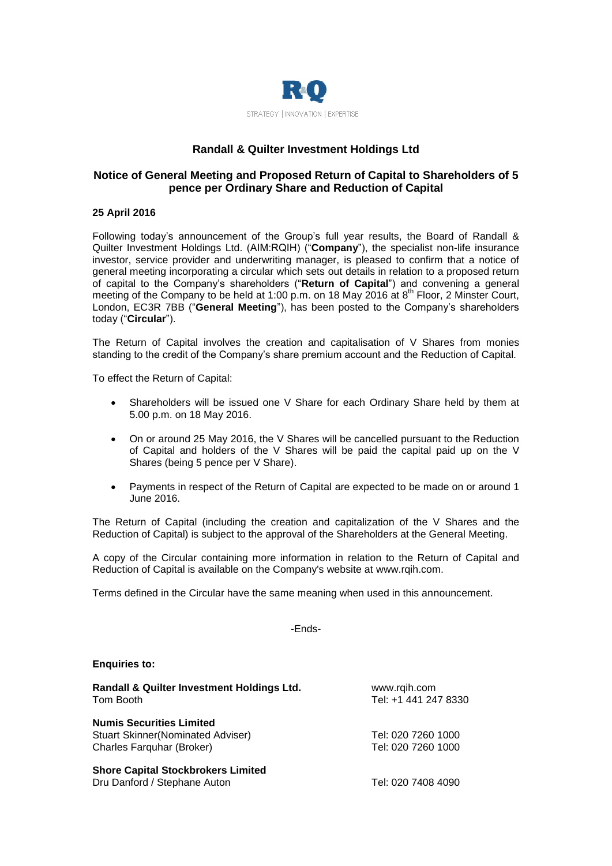

# **Randall & Quilter Investment Holdings Ltd**

## **Notice of General Meeting and Proposed Return of Capital to Shareholders of 5 pence per Ordinary Share and Reduction of Capital**

## **25 April 2016**

Following today's announcement of the Group's full year results, the Board of Randall & Quilter Investment Holdings Ltd. (AIM:RQIH) ("**Company**"), the specialist non-life insurance investor, service provider and underwriting manager, is pleased to confirm that a notice of general meeting incorporating a circular which sets out details in relation to a proposed return of capital to the Company's shareholders ("**Return of Capital**") and convening a general meeting of the Company to be held at 1:00 p.m. on 18 May 2016 at  $8<sup>th</sup>$  Floor, 2 Minster Court, London, EC3R 7BB ("**General Meeting**"), has been posted to the Company's shareholders today ("**Circular**").

The Return of Capital involves the creation and capitalisation of V Shares from monies standing to the credit of the Company's share premium account and the Reduction of Capital.

To effect the Return of Capital:

- Shareholders will be issued one V Share for each Ordinary Share held by them at 5.00 p.m. on 18 May 2016.
- On or around 25 May 2016, the V Shares will be cancelled pursuant to the Reduction of Capital and holders of the V Shares will be paid the capital paid up on the V Shares (being 5 pence per V Share).
- Payments in respect of the Return of Capital are expected to be made on or around 1 June 2016.

The Return of Capital (including the creation and capitalization of the V Shares and the Reduction of Capital) is subject to the approval of the Shareholders at the General Meeting.

A copy of the Circular containing more information in relation to the Return of Capital and Reduction of Capital is available on the Company's website at [www.rqih.com.](http://www.rqih.com/)

Terms defined in the Circular have the same meaning when used in this announcement.

-Ends-

#### **Enquiries to:**

| Randall & Quilter Investment Holdings Ltd.<br>Tom Booth                                                   | www.rqih.com<br>Tel: +1 441 247 8330     |
|-----------------------------------------------------------------------------------------------------------|------------------------------------------|
| <b>Numis Securities Limited</b><br><b>Stuart Skinner (Nominated Adviser)</b><br>Charles Farquhar (Broker) | Tel: 020 7260 1000<br>Tel: 020 7260 1000 |
| <b>Shore Capital Stockbrokers Limited</b><br>Dru Danford / Stephane Auton                                 | Tel: 020 7408 4090                       |